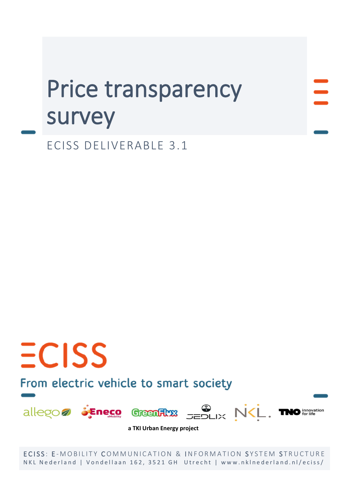# Price transparency survey

ECISS DELIVERABLE 3.1

## $ECISS$ From electric vehicle to smart society



**a TKI Urban Energy project**

ECISS: E-MOBILITY COMMUNICATION & INFORMATION SYSTEM STRUCTURE NKL Nederland | Vondellaan 162, 3521 GH Utrecht | www.nklnederland.nl/eciss/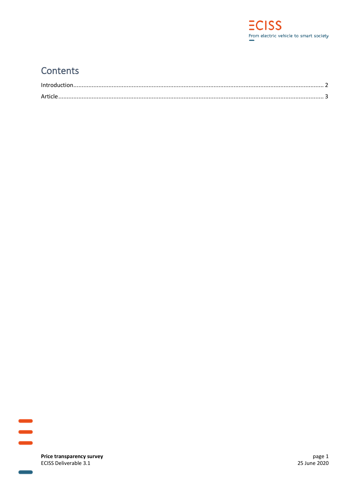

## Contents



Price transparency survey ECISS Deliverable 3.1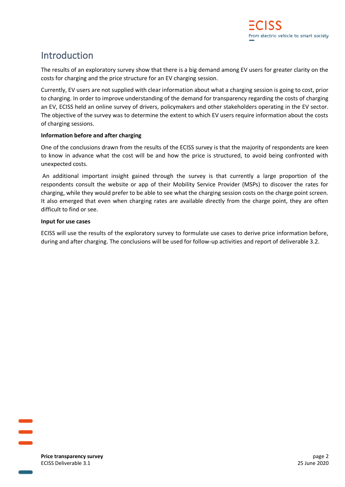## <span id="page-2-0"></span>Introduction

The results of an exploratory survey show that there is a big demand among EV users for greater clarity on the costs for charging and the price structure for an EV charging session.

Currently, EV users are not supplied with clear information about what a charging session is going to cost, prior to charging. In order to improve understanding of the demand for transparency regarding the costs of charging an EV, ECISS held an online survey of drivers, policymakers and other stakeholders operating in the EV sector. The objective of the survey was to determine the extent to which EV users require information about the costs of charging sessions.

#### **Information before and after charging**

One of the conclusions drawn from the results of the ECISS survey is that the majority of respondents are keen to know in advance what the cost will be and how the price is structured, to avoid being confronted with unexpected costs.

An additional important insight gained through the survey is that currently a large proportion of the respondents consult the website or app of their Mobility Service Provider (MSPs) to discover the rates for charging, while they would prefer to be able to see what the charging session costs on the charge point screen. It also emerged that even when charging rates are available directly from the charge point, they are often difficult to find or see.

#### **Input for use cases**

ECISS will use the results of the exploratory survey to formulate use cases to derive price information before, during and after charging. The conclusions will be used for follow-up activities and report of deliverable 3.2.